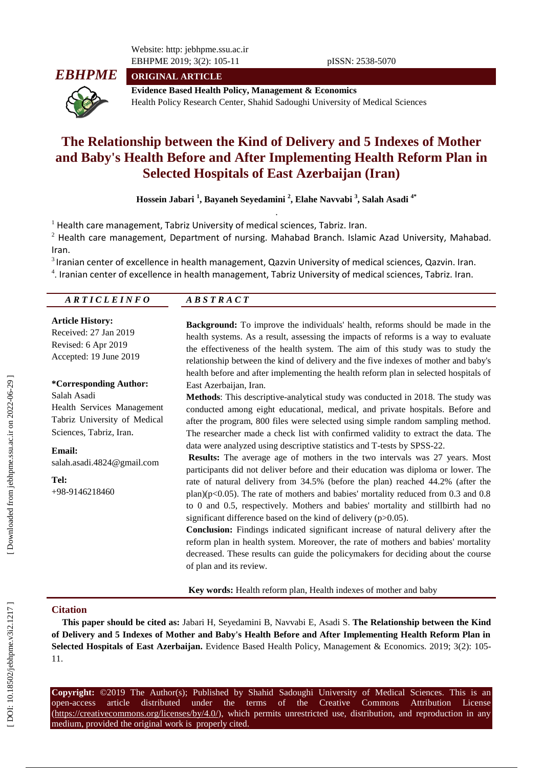Website: http: jebhpme.ssu.ac.ir EBHPME 2019; 3(2): 105 -11 pISSN: 2538 -5070



**ORIGINAL ARTICLE**

**Evidence Based Health Policy, Management & Economics** Health Policy Research Center, Shahid Sadoughi University of Medical Sciences

# **The Relationship between the Kind of Delivery and 5 Indexes of Mother and Baby's Health Before and After Implementing Health Reform Plan in Selected Hospitals of East Azerbaijan (Iran)**

**Hossein Jabari 1 , Bayaneh Seyedamini 2 , Elahe Navvabi 3 , Salah Asadi 4 \*** .

 $<sup>1</sup>$  Health care management, Tabriz University of medical sciences, Tabriz. Iran.</sup>

 $^{2}$  Health care management, Department of nursing. Mahabad Branch. Islamic Azad University, Mahabad. Iran.

 $3$  Iranian center of excellence in health management, Qazvin University of medical sciences, Qazvin. Iran. 4 . Iranian center of excellence in health management, Tabriz University of medical sciences, Tabriz. Iran.

| ARTICLEINFO | P A C T<br>P C T<br>$A \nu \nu$<br>1 A A C 1 |  |
|-------------|----------------------------------------------|--|
|             |                                              |  |

#### **Article History:**

Received: 2 7 Jan 201 9 Revised: 6 Apr 201 9 Accepted: 19 June 201 9

#### **\*Corresponding Author:**

Salah Asadi Health Services Management Tabriz University of Medical Sciences, Tabriz, Iran .

**Email:**

salah.asadi.4824@gmail.com

**Tel:**

+98 -9146218460

**Background :** To improve the individuals' health, reforms should be made in the health systems. As a result, assessing the impacts of reforms is a way to evaluate the effectiveness of the health system. The aim of this study was to study the relationship between the kind of delivery and the five indexes of mother and baby's health before and after implementing the health reform plan in selected hospitals of East Azerbaijan, Iran.

**Methods**: This descriptive -analytical study was conducted in 201 8. The study was conducted among eight educational, medical, and private hospitals. Before and after the program, 800 files were selected using simple random sampling method. The researcher made a check list with confirmed validity to extract the data. The data were analyzed using descriptive statistics and T -tests by SPSS -22.

**Results:** The average age of mothers in the two intervals was 27 years. Most participants did not deliver before and their education was diploma or lower. The rate of natural delivery from 34.5% (before the plan) reached 44.2% (after the plan)( $p<0.05$ ). The rate of mothers and babies' mortality reduced from 0.3 and 0.8 to 0 and 0.5, respectively. Mothers and babies' mortality and stillbirth had no significant difference based on the kind of delivery (p>0.05).

**Conclusion:** Findings indicated significant increase of natural delivery after the reform plan in health system. Moreover, the rate of mothers and babies' mortality decreased. These results can guide the policymakers for deciding about the course of plan and its review.

**Key words:** Health reform plan, Health indexes of mother and baby

## **Citation**

**This paper should be cited as:** Jabari H, Seyedamini B, Navvabi E, Asadi S. **The Relationship between the Kind of Delivery and 5 Indexes of Mother and Baby's Health Before and After Implementing Health Reform Plan in**  Selected Hospitals of East Azerbaijan. Evidence Based Health Policy, Management & Economics. 2019; 3(2): 105-11.

**Copyright:** ©201 9 The Author(s); Published by Shahid Sadoughi University of Medical Sciences. This is an open-access -access article distributed under the terms of the Creative Commons Attribution License (https://creativecommons.org/licenses/by/4.0/), which permits unrestricted use, distribution, and reproduction in any medium, provided the original work is properly cited.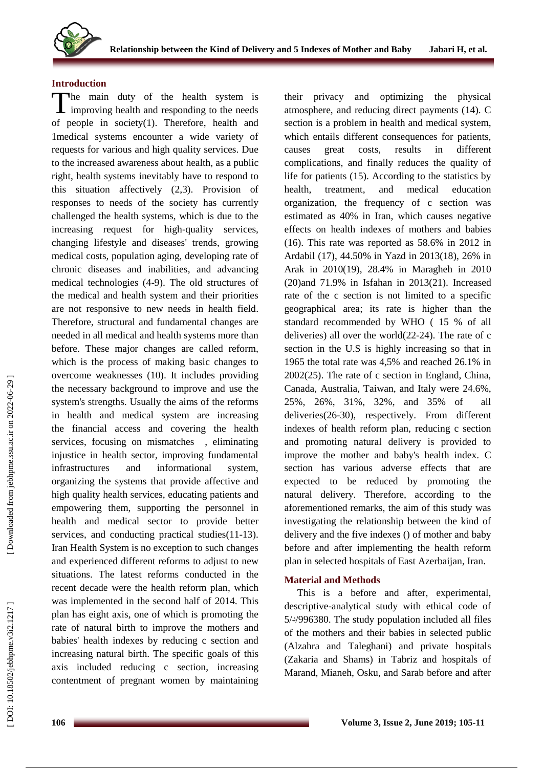

## **Introduction**

The main duty of the health system is<br>improving health and responding to the needs I improving health and responding to the needs of people in society(1). Therefore, health and 1medical systems encounter a wide variety of requests for various and high quality services. Due to the increased awareness about health, as a public right, health systems inevitably have to respond to this situation affectively (2,3) . Provision of responses to needs of the society has currently challenged the health systems, which is due to the increasing request for high -quality services, changing lifestyle and diseases' trends, growing medical costs, population aging, developing rate of chronic diseases and inabilities , and advancing medical technologies ( 4 -9). The old structures of the medical and health system and their priorities are not responsive to new needs in health field. Therefore, structural and fundamental changes are needed in all medical and health systems more than before. These major changes are called reform, which is the process of making basic changes to overcome weaknesses (10). It includes providing the necessary background to improve and use the system's strengths. Usually the aims of the reforms in health and medical system are increasing the financial access and covering the health services, focusing on mismatches , eliminating injustice in health sector, improving fundamental infrastructures and informational system, organizing the systems that provide affective and high quality health services , educating p atients and empowering them , supporting the personnel in health and medical sector to provide better services, and conducting practical studies(11-13). Iran Health System is no exception to such changes and experienced different reforms to adjust to new situations . The latest reforms conducted in the recent decade were the health reform plan, which was implemented in the second half of 2014. This plan has eight axis, one of which is promoting the rate of natural birth to improve the mothers and babies' health indexes by reducing c section and increasing natural birth. The specific goals of this axis included reducing c section, increasing contentment of pregnant women by maintaining

their privacy and optimizing the physical atmosphere, and reducing direct payments (14). C section is a problem in health and medical system, which entails different consequences for patients, causes great costs, results in different complications, and finally reduces the quality of life for patients (15) . According to the statistics by health, treatment , and medical education organization , the frequency of c section was estimated as 40% in Iran, which causes negative effects on health indexes of mothers and babies (16). This rate was reported as 58.6% in 2012 in Ardabil (17), 44.50% in Yazd in 2013(18), 26% in Arak in 2010(19) , 28.4% in Maragheh in 2010 (20)and 71.9% in Isfahan in 2013(21) . Increased rate of the c section is not limited to a specific geographical area; its rate is higher than the standard recommended by WHO ( 15 % of all deliveries) all over the world(22 -24) . The rate of c section in the U.S is highly increasing so that in 1965 the total rate was 4,5% and reached 26.1% in 2002(25) . The rate of c section in England, China, Canada, Australia, Taiwan , and Italy were 24.6%, 25%, 26%, 31%, 32% , and 35% of all deliveries(26 -30), respectively . From different indexes of health reform plan, reducing c section and promoting natural delivery is provided to improve the mother and baby's health index. C section has various adverse effects that are expected to be reduced by promoting the natural delivery. Therefore, according to the aforementioned remarks, the aim of this study was investigating the relationship between the kind of delivery and the five indexes () of mother and baby before and after implementing the health reform plan in selected hospitals of East Azerbaijan, Iran .

## **Material and Methods**

This is a before and after, experimental, descriptive -analytical study with ethical code of 5/ د/996380. The study population included all files of the mothers and their babies in selected public (Alzahra and Taleghani) and private hospitals (Zakaria and Shams) in Tabriz and hospitals of Marand, Mianeh, Osku , and Sarab before and after

DOI: 10.18502/jebhpme.v3i2.1217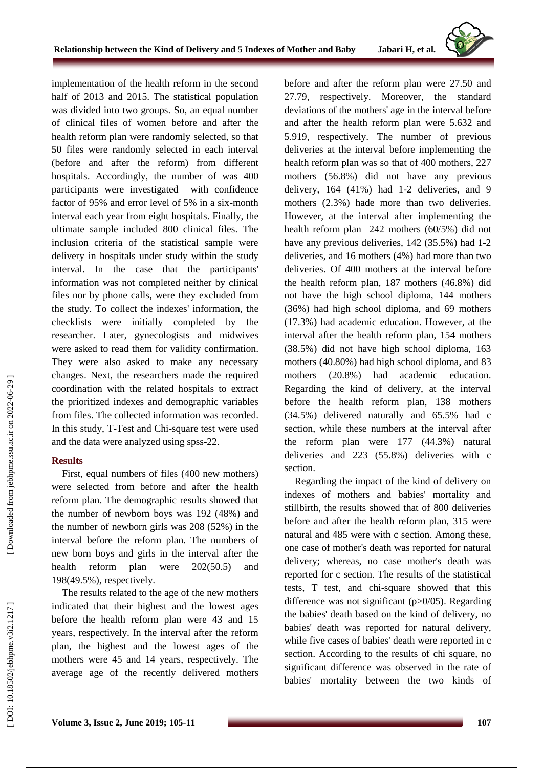implementation of the health reform in the second half of 2013 and 2015 . The statistical population was divided into two groups. So , an equal number of clinical files of women before and after the health reform plan were randomly selected, so that 50 files were randomly selected in each interval (before and after the re form) from different hospitals . Accordingly , the number of was 400 participants were investigated with confidence factor of 95% and error level of 5% in a six -month interval each year from eight hospitals. Finally, the ultimate sample included 800 clinical files. The inclusion criteria of the statistical sample were delivery in hospitals under study within the study interval . In the case that the participants' information was not completed neither by clinical file s nor by phone call s , were they excluded from the study . To collect the indexes' information, the checklists were initially completed by the researcher. Later, gynecologists and midwives were asked to read them for validity confirmation. They were also asked to make any necessary changes. Next, the researchers made the required coordination with the related hospitals to extract the prioritized indexes and demographic variables from files. The collected information was recorded. In this study , T -Test and Chi -square test were used and the data were analyzed using spss -22.

## **Results**

First, equal number s of files (400 new mother s) were selected from before and after the health reform plan. The demographic results showed that the number of newborn boys was 192 (48%) and the number of newborn girls was 208 (52%) in the interval before the reform plan. The numbers of new born boys and girls in the interval after the health reform plan were 202(50.5) and 198(49.5%), respectively.

The results related to the age of the new mothers indicated that their highest and the lowest age s before the health reform plan were 43 and 15 years, respectively. In the interval after the reform plan , the highest and the lowest age s of the mothers were 45 and 14 years, respectively . The average age of the recently delivered mothers

before and after the reform plan were 27.50 and 27.79, respectively . Moreover, the standard deviation s of the mothers' age in the interval before and afte r the health reform plan were 5.632 and 5.919, respectively. The number of previous deliveries at the interval before implementing the health reform plan was so that of 400 mothers, 227 mothers (56 .8%) did not have any previous delivery, 164 (41%) had 1 -2 deliveries, and 9 mothers (2 .3%) hade more than two deliveries. However, at the interval after implementing the health reform plan 242 mothers (60/5%) did not have any previous deliveries, 142 (35.5%) had 1-2 deliveries, and 16 mothers (4%) had more than two deliveries . Of 400 mothers at the interval before the health reform plan, 187 mothers (46 .8%) did not have the high school diploma, 144 mothers (36%) had high school diploma , and 69 mothers (17 .3%) had academic education. However, at the interval after the health reform plan , 154 mothers (38 .5%) did not have high school diploma, 163 mothers (40 .80%) had high school diploma , and 83 mothers (20 .8%) had academic education. Regarding the kind of delivery, at the interval before the health reform plan, 138 mothers (34 .5%) delivered naturally and 65 .5% had c section, while these number s at the interval after the reform plan were 177 (44 .3%) natural deliveries and 223 (55 .8%) deliveries with c section.

Regarding the impact of the kind of delivery on indexes of mothers and babies' mortality and stillbirth , the results showed that of 800 deliveries before and after the health reform plan, 315 were natural and 485 were with c section. Among these, one case of mother's death was reported for natural delivery ; whereas, no case mother's death was reported for c section. The results of the statistical tests, T test , and chi -square showed that this difference was not significant (p>0/05). Regarding the babies' death based on the kind of delivery, no babies' death was reported for natural delivery, while five cases of babies' death were reported in c section. According to the results of chi square, no significant difference was observed in the rate of babies' mortality between the two kinds of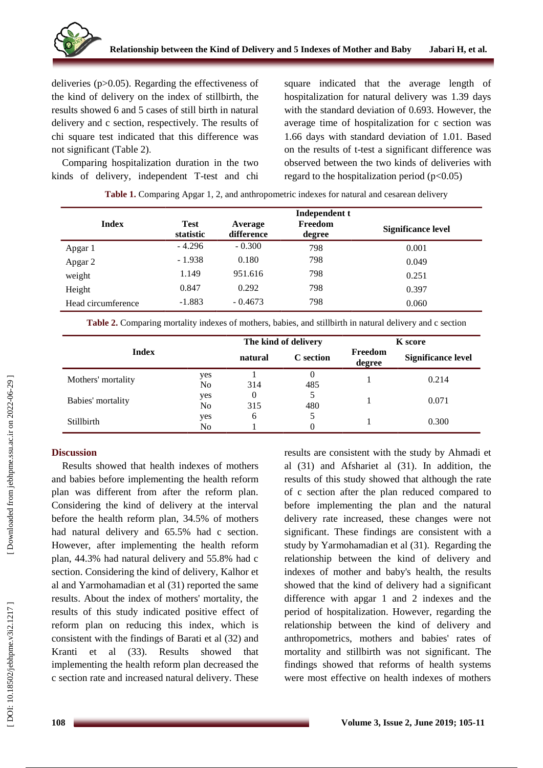

deliveries (p>0 .05). Regarding the effectiveness of the kind of delivery on the index of stillbirth, the results showed 6 and 5 cases of still birth in natural delivery and c section, respectively . The results of chi square test indicated that this difference was no t significant ( Table 2) .

Comparing hospitalization duration in the two kinds of delivery , independent T -test and chi square indicated that the average length of hospitalization for natural delivery was 1.39 days with the standard deviation of 0.693. However, the average time of hospitalization for c section was 1.66 days with standard deviation of 1.01. Based on the results of t -test a significant difference was observed between the two kinds of deliveries with regard to the hospitalization period  $(p<0.05)$ 

| Table 1. Comparing Apgar 1, 2, and anthropometric indexes for natural and cesarean delivery |                          |                       |                                    |                    |  |  |  |  |
|---------------------------------------------------------------------------------------------|--------------------------|-----------------------|------------------------------------|--------------------|--|--|--|--|
| Index                                                                                       | <b>Test</b><br>statistic | Average<br>difference | Independent t<br>Freedom<br>degree | Significance level |  |  |  |  |
| Apgar 1                                                                                     | $-4.296$                 | $-0.300$              | 798                                | 0.001              |  |  |  |  |
| Apgar 2                                                                                     | $-1.938$                 | 0.180                 | 798                                | 0.049              |  |  |  |  |
| weight                                                                                      | 1.149                    | 951.616               | 798                                | 0.251              |  |  |  |  |
| Height                                                                                      | 0.847                    | 0.292                 | 798                                | 0.397              |  |  |  |  |
| Head circumference                                                                          | $-1.883$                 | $-0.4673$             | 798                                | 0.060              |  |  |  |  |

**Table 2.** Comparing mortality indexes of mothers, babies, and stillbirth in natural delivery and c section

| <b>Index</b>       |                       | The kind of delivery |                 | <b>K</b> score    |                           |
|--------------------|-----------------------|----------------------|-----------------|-------------------|---------------------------|
|                    |                       | natural              | C section       | Freedom<br>degree | <b>Significance level</b> |
| Mothers' mortality | yes<br>N <sub>0</sub> | 314                  | $\theta$<br>485 |                   | 0.214                     |
| Babies' mortality  | yes<br>N <sub>0</sub> | 0<br>315             | 5<br>480        |                   | 0.071                     |
| Stillbirth         | yes<br>No             | 6                    | 5               |                   | 0.300                     |

## **Discussion**

Results showed that health indexes of mothers and babies before implementing the health reform plan was different from after the reform plan. Considering the kind of delivery at the interval before the health reform plan, 34.5% of mothers had natural delivery and 65.5% had c section. However, after implementing the health reform plan, 44.3% had natural delivery and 55.8% had c section . Considering the kind of delivery, Kalhor et al and Yarmohamadian e t al (31) reported the same results. About the index of mothers' mortality, the results of this study indicate d positive effect of reform plan on reducing this index, which is consistent with the findings of Barati et al (32) and Kranti et al  $(33)$ . Results showed that implementing the health reform plan decreased the c section rate and increase d natural delivery. These results are consistent with the study by Ahmadi et al (31) and Afshariet al (31). In addition, the results of this study showed that although the rate of c section after the plan reduced compared to before implementing the plan and the natural delivery rate increased, these changes were not significant. These findings are consistent with a study by Yarmohamadian et al (31) . Regarding the relationship between the kind of delivery and indexes of mother and baby's health, the results showed that the kind of delivery had a significant difference with apgar 1 and 2 indexes and the period of hospitalization. However, regarding the relationship between the kind of delivery and anthropometrics, mothers and babies' rates of mortality and stillbirth was not significant. The findings showed that reforms of health systems were most effective on health indexes of mothers

DOI: 10.18502/jebhpme.v3i2.1217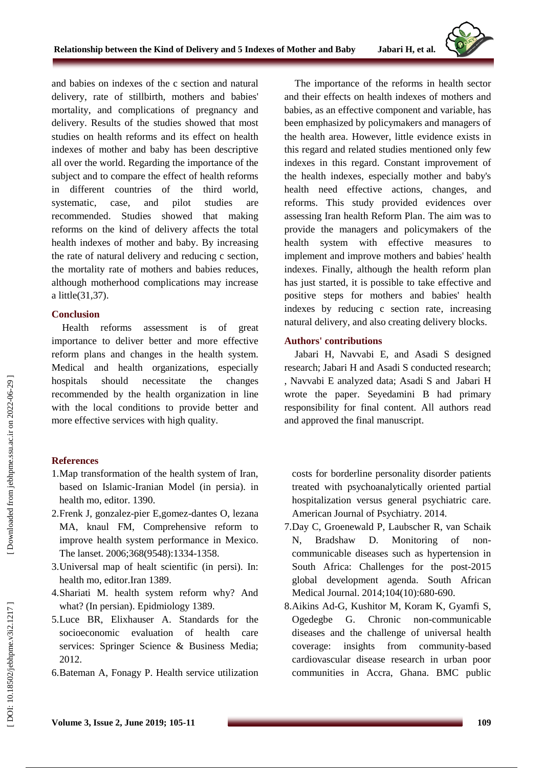and babies on indexes of the c section and natural delivery, rate of stillbirth, mothers and babies' mortality , and complications of pregnancy and delivery. Results of the studies showed that most studies on health reforms and its effect on health indexes of mother and baby has been descriptive all over the world. Regarding the importance of the subject and to compare the effect of health reforms in different countries of the third world, systematic, case, , and pilot studies are recommended. Studies showed that making reforms on the kind of delivery affects the total health indexes of mother and baby. By increasing the rate of natural delivery and reducing c section , the mortality rate of mothers and babies reduces , although motherhood complications may increase a little(31,37) .

#### **Conclusion**

Health reforms assessment is of great importance to deliver better and more effective reform plans and changes in the health system. Medical and health organizations, especially hospitals should necessitate the changes recommended by the health organization in line with the local conditions to provide better and more effective services with high quality .

## **References**

- 1.Map transformation of the health system of Iran, based on Islamic -Iranian Model (in persia). in health mo, editor. 1390.
- 2.Frenk J, gonzalez -pier E,gomez -dantes O, lezana MA, knaul FM, Comprehensive reform to improve health system performance in Mexico. The lanset. 2006;368(9548):1334 -1358 .
- 3.Universal map of healt scientific (in persi). In: health mo, editor.Iran 1389.
- 4.Shariati M. health system reform why? And what? (In persian). Epidmiology 1389.
- 5.Luce BR, Elixhauser A. Standards for the socioeconomic evaluation of health care services: Springer Science & Business Media; 2012.
- 6.Bateman A, Fonagy P. Health service utilization

The importance of the reforms in health sector and the ir effect s on health indexes of mothers and babies , as an effective component and variable , has been emphasized by policymakers and managers of the health area . However, little evidence exists in this regard and related studies mentioned only few indexes in this regard . Constant improvement of the health indexes , especially mother and baby's health need effective actions, changes , and reforms. This study provided evidence s over assessing Iran health Reform Plan. The aim was to provide the managers and policymakers of the health system with effective measures implement and improve mothers and babies' health indexes. Finally , although the health reform plan has just started , it is possible to take effective and positive steps for mothers and babies' health indexes by reducing c section rate , increasing natural delivery , and also creating delivery blocks.

## **Authors' contributions**

Jabari H, Navvabi E, and Asadi S designed research; Jabari H and Asadi S conducted research; , Navvabi E analyzed data; Asadi S and Jabari H wrote the paper. Seyedamini B had primary responsibility for final content. All authors read and approved the final manuscript .

costs for borderline personality disorder patients treated with psychoanalytically oriented partial hospitalization versus general psychiatric care. American Journal of Psychiatry. 2014.

- 7.Day C, Groenewald P, Laubscher R, van Schaik N, Bradshaw D. Monitoring of non communicable diseases such as hypertension in South Africa: Challenges for the post -2015 global development agenda. South African Medical Journal. 2014;104(10):680-690.
- 8.Aikins Ad -G, Kushitor M, Koram K, Gyamfi S, Ogedegbe G. Chronic -communicable diseases and the challenge of universal health coverage: insights from community -based cardiovascular disease research in urban poor communities in Accra, Ghana. BMC public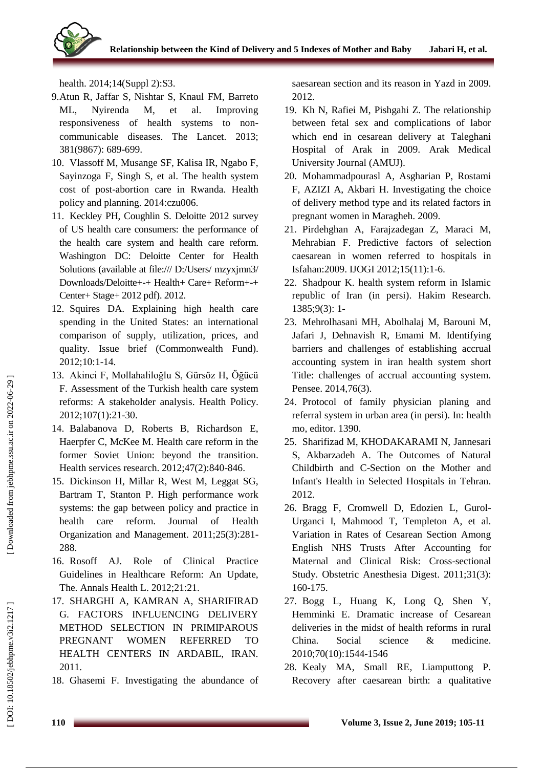

health. 2014;14(Suppl 2):S3.

- 9.Atun R, Jaffar S, Nishtar S, Knaul FM, Barreto ML, Nyirenda M, et al. Improving responsiveness of health systems to non communicable diseases. The Lancet. 2013; 381(9867): 689 -699 .
- 10. Vlassoff M, Musange SF, Kalisa IR, Ngabo F, Sayinzoga F, Singh S, et al. The health system cost of post -abortion care in Rwanda. Health policy and planning. 2014:czu006.
- 11. Keckley PH, Coughlin S. Deloitte 2012 survey of US health care consumers: the performance of the health care system and health care reform. Washington DC: Deloitte Center for Health Solutions (available at file:/// D:/Users/ mzyxjmn3/ Downloads/Deloitte+ -+ Health+ Care+ Reform+ -+ Center+ Stage+ 2012 pdf). 2012.
- 12. Squires DA. Explaining high health care spending in the United States: an international comparison of supply, utilization, prices, and quality. Issue brief (Commonwealth Fund). 2012;10:1 -14.
- 13. Akinci F, Mollahaliloğlu S, Gürsöz H, Öğücü F. Assessment of the Turkish health care system reforms: A stakeholder analysis. Health Policy. 2012;107(1):21 -30.
- 14. Balabanova D, Roberts B, Richardson E, Haerpfer C, McKee M. Health care reform in the former Soviet Union: beyond the transition. Health services research. 2012;47(2):840-846.
- 15. Dickinson H, Millar R, West M, Leggat SG, Bartram T, Stanton P. High performance work systems: the gap between policy and practice in health care reform. Journal of Health Organization and Management. 2011;25(3):281 - 288 .
- 16. Rosoff AJ. Role of Clinical Practice Guidelines in Healthcare Reform: An Update, The. Annals Health L. 2012;21:21.
- 17. SHARGHI A, KAMRAN A, SHARIFIRAD G. FACTORS INFLUENCING DELIVERY METHOD SELECTION IN PRIMIPAROUS PREGNANT WOMEN REFERRED TO HEALTH CENTERS IN ARDABIL, IRAN. 2011.
- 18. Ghasemi F. Investigating the abundance of

saesarean section and its reason in Yazd in 2009. 2012.

- 19. Kh N, Rafiei M, Pishgahi Z. The relationship between fetal sex and complications of labor which end in cesarean delivery at Taleghani Hospital of Arak in 2009. Arak Medical University Journal (AMUJ).
- 20. Mohammadpourasl A, Asgharian P, Rostami F, AZIZI A, Akbari H. Investigating the choice of delivery method type and its related factors in pregnant women in Maragheh. 2009.
- 21. Pirdehghan A, Farajzadegan Z, Maraci M, Mehrabian F. Predictive factors of selection caesarean in women referred to hospitals in Isfahan:2009. IJOGI 2012;15(11):1 -6.
- 22. Shadpour K. health system reform in Islamic republic of Iran (in persi). Hakim Research. 1385;9(3): 1 -
- 23. Mehrolhasani MH, Abolhalaj M, Barouni M, Jafari J, Dehnavish R, Emami M. Identifying barriers and challenges of establishing accrual accounting system in iran health system short Title: challenges of accrual accounting system. Pensee. 2014,76(3).
- 24. Protocol of family physician planing and referral system in urban area (in persi). In: health mo, editor. 1390.
- 25. Sharifizad M, KHODAKARAMI N, Jannesari S, Akbarzadeh A. The Outcomes of Natural Childbirth and C -Section on the Mother and Infant's Health in Selected Hospitals in Tehran. 2012.
- 26. Bragg F, Cromwell D, Edozien L, Gurol Urganci I, Mahmood T, Templeton A, et al. Variation in Rates of Cesarean Section Among English NHS Trusts After Accounting for Maternal and Clinical Risk: Cross -sectional Study. Obstetric Anesthesia Digest. 2011;31(3): 160 -175 .
- 27. Bogg L, Huang K, Long Q, Shen Y, Hemminki E. Dramatic increase of Cesarean deliveries in the midst of health reforms in rural China. Social science & medicine. 2010;70(10):1544 -1546
- 28. Kealy MA, Small RE, Liamputtong P. Recovery after caesarean birth: a qualitative